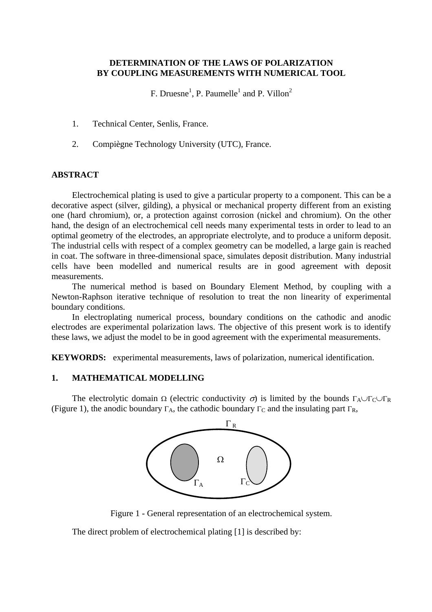# **DETERMINATION OF THE LAWS OF POLARIZATION BY COUPLING MEASUREMENTS WITH NUMERICAL TOOL**

F. Druesne<sup>1</sup>, P. Paumelle<sup>1</sup> and P. Villon<sup>2</sup>

- 1. Technical Center, Senlis, France.
- 2. Compiègne Technology University (UTC), France.

## **ABSTRACT**

Electrochemical plating is used to give a particular property to a component. This can be a decorative aspect (silver, gilding), a physical or mechanical property different from an existing one (hard chromium), or, a protection against corrosion (nickel and chromium). On the other hand, the design of an electrochemical cell needs many experimental tests in order to lead to an optimal geometry of the electrodes, an appropriate electrolyte, and to produce a uniform deposit. The industrial cells with respect of a complex geometry can be modelled, a large gain is reached in coat. The software in three-dimensional space, simulates deposit distribution. Many industrial cells have been modelled and numerical results are in good agreement with deposit measurements.

The numerical method is based on Boundary Element Method, by coupling with a Newton-Raphson iterative technique of resolution to treat the non linearity of experimental boundary conditions.

In electroplating numerical process, boundary conditions on the cathodic and anodic electrodes are experimental polarization laws. The objective of this present work is to identify these laws, we adjust the model to be in good agreement with the experimental measurements.

**KEYWORDS:** experimental measurements, laws of polarization, numerical identification.

## **1. MATHEMATICAL MODELLING**

The electrolytic domain  $\Omega$  (electric conductivity  $\sigma$ ) is limited by the bounds  $\Gamma_A \cup \Gamma_C \cup \Gamma_R$ (Figure 1), the anodic boundary  $\Gamma_A$ , the cathodic boundary  $\Gamma_C$  and the insulating part  $\Gamma_R$ ,



Figure 1 - General representation of an electrochemical system.

The direct problem of electrochemical plating [1] is described by: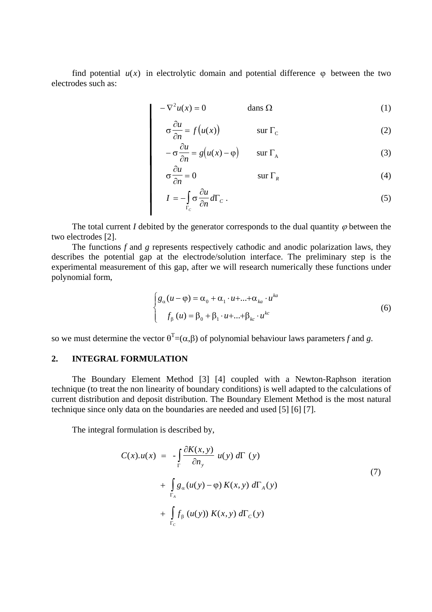find potential  $u(x)$  in electrolytic domain and potential difference  $\varphi$  between the two electrodes such as:

$$
-\nabla^2 u(x) = 0 \qquad \qquad \text{dans } \Omega \tag{1}
$$

$$
\sigma \frac{\partial u}{\partial n} = f(u(x)) \qquad \qquad \text{sur } \Gamma_{\text{C}}
$$
 (2)

$$
-\sigma \frac{\partial u}{\partial n} = g(u(x) - \varphi) \qquad \text{sur } \Gamma_A \tag{3}
$$

$$
\sigma \frac{\partial u}{\partial n} = 0 \qquad \qquad \text{sur } \Gamma_R \tag{4}
$$

$$
I = -\int_{\Gamma_c} \sigma \frac{\partial u}{\partial n} d\Gamma_c \,. \tag{5}
$$

The total current *I* debited by the generator corresponds to the dual quantity  $\varphi$  between the two electrodes [2].

The functions *f* and *g* represents respectively cathodic and anodic polarization laws, they describes the potential gap at the electrode/solution interface. The preliminary step is the experimental measurement of this gap, after we will research numerically these functions under polynomial form,

$$
\begin{cases} g_{\alpha}(u - \varphi) = \alpha_0 + \alpha_1 \cdot u + \dots + \alpha_{ka} \cdot u^{ka} \\ f_{\beta}(u) = \beta_0 + \beta_1 \cdot u + \dots + \beta_{kc} \cdot u^{kc} \end{cases}
$$
 (6)

so we must determine the vector  $\theta^T = (\alpha, \beta)$  of polynomial behaviour laws parameters f and g.

## **2. INTEGRAL FORMULATION**

The Boundary Element Method [3] [4] coupled with a Newton-Raphson iteration technique (to treat the non linearity of boundary conditions) is well adapted to the calculations of current distribution and deposit distribution. The Boundary Element Method is the most natural technique since only data on the boundaries are needed and used [5] [6] [7].

The integral formulation is described by,

$$
C(x).u(x) = -\int_{\Gamma} \frac{\partial K(x, y)}{\partial n_y} u(y) d\Gamma(y)
$$
  
+ 
$$
\int_{\Gamma_A} g_{\alpha}(u(y) - \varphi) K(x, y) d\Gamma_A(y)
$$
  
+ 
$$
\int_{\Gamma_C} f_{\beta}(u(y)) K(x, y) d\Gamma_C(y)
$$
 (7)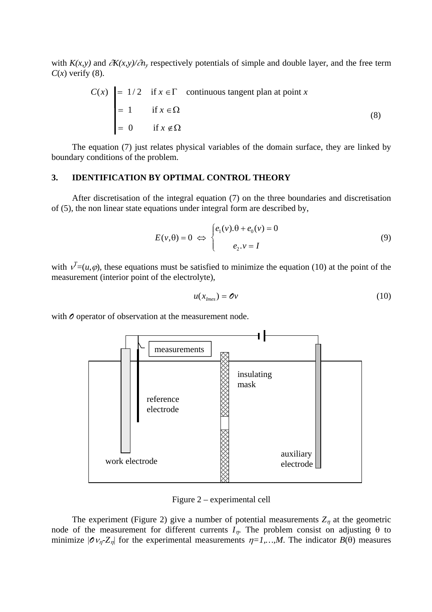with *K(x,y)* and ∂*K(x,y)/*∂*ny* respectively potentials of simple and double layer, and the free term  $C(x)$  verify (8).

$$
C(x) = 1/2 \quad \text{if } x \in \Gamma \quad \text{continuous tangent plan at point } x
$$
  
= 1 \quad \text{if } x \in \Omega  
= 0 \quad \text{if } x \notin \Omega (8)

The equation (7) just relates physical variables of the domain surface, they are linked by boundary conditions of the problem.

#### **. IDENTIFICATION BY OPTIMAL CONTROL THEORY 3**

After discretisation of the integral equation  $(7)$  on the three boundaries and discretisation of (5), the non linear state equations under integral form are described by,

$$
E(v, \theta) = 0 \iff \begin{cases} e_1(v) \cdot \theta + e_0(v) = 0 \\ e_2 \cdot v = I \end{cases}
$$
 (9)

with  $v^T = (u, \varphi)$ , these equations must be satisfied to minimize the equation (10) at the point of the measurement (interior point of the electrolyte),

$$
u(x_{\text{Imes}}) = \mathbf{O}v \tag{10}
$$

with  $\mathcal O$  operator of observation at the measurement node.



Figure 2 – experimental cell

The experiment (Figure 2) give a number of potential measurements  $Z_n$  at the geometric node of the measurement for different currents  $I_n$ . The problem consist on adjusting  $\theta$  to minimize  $|\mathcal{O}_{V_n}Z_n|$  for the experimental measurements  $\eta=1,...,M$ . The indicator  $B(\theta)$  measures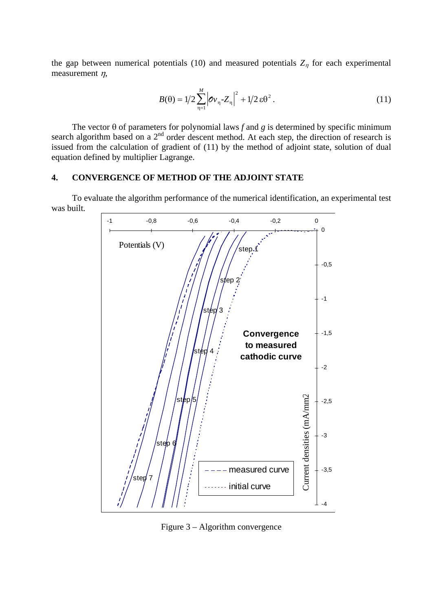the gap between numerical potentials (10) and measured potentials  $Z_n$  for each experimental measurement  $\eta$ ,

$$
B(\theta) = 1/2 \sum_{n=1}^{M} |\sigma v_n - Z_n|^2 + 1/2 \varepsilon \theta^2.
$$
 (11)

issued from the calculation of gradient of  $(11)$  by the method of adjoint state, solution of dual equation defined by multiplier Lagrange. The vector  $\theta$  of parameters for polynomial laws  $f$  and  $g$  is determined by specific minimum search algorithm based on a  $2<sup>nd</sup>$  order descent method. At each step, the direction of research is

### **. CONVERGENCE OF METHOD OF THE ADJOINT STATE 4**

To evaluate the algorithm performance of the numerical identification, an experimental test was built.



Figure 3 – Algorithm convergence